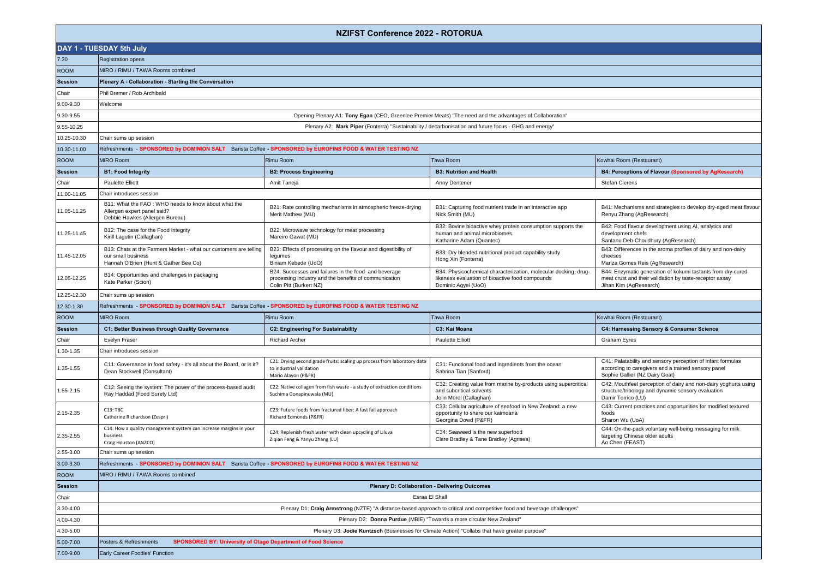|                |                                                                                                                                  | <b>NZIFST Conference 2022 - ROTORUA</b>                                                                                                  |                                                                                                                                           |                                                                                                                                                      |
|----------------|----------------------------------------------------------------------------------------------------------------------------------|------------------------------------------------------------------------------------------------------------------------------------------|-------------------------------------------------------------------------------------------------------------------------------------------|------------------------------------------------------------------------------------------------------------------------------------------------------|
|                | DAY 1 - TUESDAY 5th July                                                                                                         |                                                                                                                                          |                                                                                                                                           |                                                                                                                                                      |
| 7.30           | <b>Registration opens</b>                                                                                                        |                                                                                                                                          |                                                                                                                                           |                                                                                                                                                      |
| <b>ROOM</b>    | MIRO / RIMU / TAWA Rooms combined                                                                                                |                                                                                                                                          |                                                                                                                                           |                                                                                                                                                      |
| <b>Session</b> | Plenary A - Collaboration - Starting the Conversation                                                                            |                                                                                                                                          |                                                                                                                                           |                                                                                                                                                      |
| Chair          | Phil Bremer / Rob Archibald                                                                                                      |                                                                                                                                          |                                                                                                                                           |                                                                                                                                                      |
| 9.00-9.30      | Welcome                                                                                                                          |                                                                                                                                          |                                                                                                                                           |                                                                                                                                                      |
| 9.30-9.55      |                                                                                                                                  |                                                                                                                                          | Opening Plenary A1: Tony Egan (CEO, Greenlee Premier Meats) "The need and the advantages of Collaboration"                                |                                                                                                                                                      |
| 9.55-10.25     |                                                                                                                                  |                                                                                                                                          | Plenary A2: Mark Piper (Fonterra) "Sustainability / decarbonisation and future focus - GHG and energy"                                    |                                                                                                                                                      |
| 10.25-10.30    | Chair sums up session                                                                                                            |                                                                                                                                          |                                                                                                                                           |                                                                                                                                                      |
| 10.30-11.00    | Refreshments - SPONSORED by DOMINION SALT Barista Coffee - SPONSORED by EUROFINS FOOD & WATER TESTING NZ                         |                                                                                                                                          |                                                                                                                                           |                                                                                                                                                      |
| <b>ROOM</b>    | <b>MIRO Room</b>                                                                                                                 | <b>Rimu Room</b>                                                                                                                         | Tawa Room                                                                                                                                 | Kowhai Room (Restaurant)                                                                                                                             |
| <b>Session</b> | <b>B1: Food Integrity</b>                                                                                                        | <b>B2: Process Engineering</b>                                                                                                           | <b>B3: Nutrition and Health</b>                                                                                                           | B4: Perceptions of Flavour (Sponsored by AgResearch)                                                                                                 |
| Chair          | <b>Paulette Elliott</b>                                                                                                          | Amit Taneja                                                                                                                              | Anny Dentener                                                                                                                             | Stefan Clerens                                                                                                                                       |
| 11.00-11.05    | Chair introduces session                                                                                                         |                                                                                                                                          |                                                                                                                                           |                                                                                                                                                      |
| 11.05-11.25    | B11: What the FAO: WHO needs to know about what the<br>Allergen expert panel said?<br>Debbie Hawkes (Allergen Bureau)            | B21: Rate controlling mechanisms in atmospheric freeze-drying<br>Merit Mathew (MU)                                                       | B31: Capturing food nutrient trade in an interactive app<br>Nick Smith (MU)                                                               | B41: Mechanisms and strategies to develop dry-aged meat flavour<br>Renyu Zhang (AgResearch)                                                          |
| 11.25-11.45    | B12: The case for the Food Integrity<br>Kirill Lagutin (Callaghan)                                                               | B22: Microwave technology for meat processing<br>Mareiro Gawat (MU)                                                                      | B32: Bovine bioactive whey protein consumption supports the<br>human and animal microbiomes.<br>Katharine Adam (Quantec)                  | B42: Food flavour development using AI, analytics and<br>development chefs<br>Santanu Deb-Choudhury (AqResearch)                                     |
| 11.45-12.05    | B13: Chats at the Farmers Market - what our customers are telling<br>our small business<br>Hannah O'Brien (Hunt & Gather Bee Co) | B23: Effects of processing on the flavour and digestibility of<br>legumes<br>Biniam Kebede (UoO)                                         | B33: Dry blended nutritional product capability study<br>Hong Xin (Fonterra)                                                              | B43: Differences in the aroma profiles of dairy and non-dairy<br>cheeses<br>Mariza Gomes Reis (AgResearch)                                           |
| 12.05-12.25    | B14: Opportunities and challenges in packaging<br>Kate Parker (Scion)                                                            | B24: Successes and failures in the food and beverage<br>processing industry and the benefits of communication<br>Colin Pitt (Burkert NZ) | B34: Physicochemical characterization, molecular docking, drug-<br>likeness evaluation of bioactive food compounds<br>Dominic Agyei (UoO) | B44: Enzymatic generation of kokumi tastants from dry-cured<br>meat crust and their validation by taste-receptor assay<br>Jihan Kim (AgResearch)     |
| 12.25-12.30    | Chair sums up session                                                                                                            |                                                                                                                                          |                                                                                                                                           |                                                                                                                                                      |
| 12.30-1.30     | Refreshments - SPONSORED by DOMINION SALT Barista Coffee - SPONSORED by EUROFINS FOOD & WATER TESTING NZ                         |                                                                                                                                          |                                                                                                                                           |                                                                                                                                                      |
| <b>ROOM</b>    | <b>MIRO Room</b>                                                                                                                 | <b>Rimu Room</b>                                                                                                                         | <b>Tawa Room</b>                                                                                                                          | Kowhai Room (Restaurant)                                                                                                                             |
| <b>Session</b> | C1: Better Business through Quality Governance                                                                                   | <b>C2: Engineering For Sustainability</b>                                                                                                | C3: Kai Moana                                                                                                                             | C4: Harnessing Sensory & Consumer Science                                                                                                            |
| Chair          | Evelyn Fraser                                                                                                                    | <b>Richard Archer</b>                                                                                                                    | <b>Paulette Elliott</b>                                                                                                                   | <b>Graham Eyres</b>                                                                                                                                  |
| 1.30-1.35      | Chair introduces session                                                                                                         |                                                                                                                                          |                                                                                                                                           |                                                                                                                                                      |
| $.35 - 1.55$   | C11: Governance in food safety - it's all about the Board, or is it?<br>Dean Stockwell (Consultant)                              | C21: Drying second grade fruits: scaling up process from laboratory data<br>to industrial validation<br>Mario Alayon (P&FR)              | C31: Functional food and ingredients from the ocean<br>Sabrina Tian (Sanford)                                                             | C41: Palatability and sensory perception of infant formulas<br>according to caregivers and a trained sensory panel<br>Sophie Gallier (NZ Dairy Goat) |
| $.55 - 2.15$   | C12: Seeing the system: The power of the process-based audit<br>Ray Haddad (Food Surety Ltd)                                     | C22: Native collagen from fish waste - a study of extraction conditions<br>Suchima Gonapinuwala (MU)                                     | C32: Creating value from marine by-products using supercritical<br>and subcritical solvents<br>Jolin Morel (Callaghan)                    | C42: Mouthfeel perception of dairy and non-dairy yoghurts using<br>structure/tribology and dynamic sensory evaluation<br>Damir Torrico (LU)          |
| 2.15-2.35      | C13: TBC<br>Catherine Richardson (Zespri)                                                                                        | C23: Future foods from fractured fiber: A fast fail approach<br>Richard Edmonds (P&FR)                                                   | C33: Cellular agriculture of seafood in New Zealand: a new<br>opportunity to share our kaimoana<br>Georgina Dowd (P&FR)                   | C43: Current practices and opportunities for modified textured<br>foods<br>Sharon Wu (UoA)                                                           |
| 2.35-2.55      | C14: How a quality management system can increase margins in your<br>business<br>Craig Houston (ANZCO)                           | C24: Replenish fresh water with clean upcycling of Liluva<br>Zigian Feng & Yanyu Zhang (LU)                                              | C34: Seaweed is the new superfood<br>Clare Bradley & Tane Bradley (Agrisea)                                                               | C44: On-the-pack voluntary well-being messaging for milk<br>targeting Chinese older adults<br>Ao Chen (FEAST)                                        |
| 2.55-3.00      | Chair sums up session                                                                                                            |                                                                                                                                          |                                                                                                                                           |                                                                                                                                                      |
| 3.00-3.30      | Refreshments - SPONSORED by DOMINION SALT Barista Coffee - SPONSORED by EUROFINS FOOD & WATER TESTING NZ                         |                                                                                                                                          |                                                                                                                                           |                                                                                                                                                      |
| <b>ROOM</b>    | MIRO / RIMU / TAWA Rooms combined                                                                                                |                                                                                                                                          |                                                                                                                                           |                                                                                                                                                      |
| <b>Session</b> |                                                                                                                                  |                                                                                                                                          | Plenary D: Collaboration - Delivering Outcomes                                                                                            |                                                                                                                                                      |
| Chair          |                                                                                                                                  |                                                                                                                                          | Esraa El Shall                                                                                                                            |                                                                                                                                                      |
| 3.30-4.00      |                                                                                                                                  |                                                                                                                                          | Plenary D1: Craig Armstrong (NZTE) "A distance-based approach to critical and competitive food and beverage challenges"                   |                                                                                                                                                      |
| 4.00-4.30      | Plenary D2: Donna Purdue (MBIE) "Towards a more circular New Zealand"                                                            |                                                                                                                                          |                                                                                                                                           |                                                                                                                                                      |
| 4.30-5.00      | Plenary D3: Jodie Kuntzsch (Businesses for Climate Action) "Collabs that have greater purpose"                                   |                                                                                                                                          |                                                                                                                                           |                                                                                                                                                      |
| 5.00-7.00      | <b>SPONSORED BY: University of Otago Department of Food Science</b><br>Posters & Refreshments                                    |                                                                                                                                          |                                                                                                                                           |                                                                                                                                                      |
| 7.00-9.00      | Early Career Foodies' Function                                                                                                   |                                                                                                                                          |                                                                                                                                           |                                                                                                                                                      |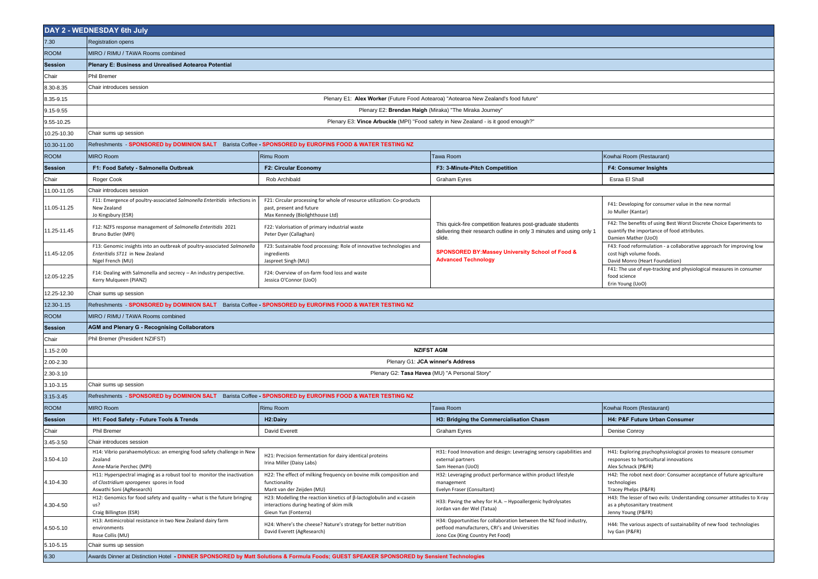| <b>Registration opens</b><br>7.30<br>MIRO / RIMU / TAWA Rooms combined<br><b>ROOM</b><br>Plenary E: Business and Unrealised Aotearoa Potential<br>Session<br>Phil Bremer<br>Chair<br>8.30-8.35<br>Chair introduces session<br>Plenary E1: Alex Worker (Future Food Aotearoa) "Aotearoa New Zealand's food future"<br>8.35-9.15<br>Plenary E2: Brendan Haigh (Miraka) "The Miraka Journey'<br>9.15-9.55<br>Plenary E3: Vince Arbuckle (MPI) "Food safety in New Zealand - is it good enough?"<br>9.55-10.25<br>10.25-10.30<br>Chair sums up session<br>Refreshments - SPONSORED by DOMINION SALT Barista Coffee - SPONSORED by EUROFINS FOOD & WATER TESTING NZ<br>10.30-11.00<br><b>ROOM</b><br><b>MIRO Room</b><br>Tawa Room<br>Rimu Room<br>Kowhai Room (Restaurant)<br>F1: Food Safety - Salmonella Outbreak<br>F2: Circular Economy<br>F3: 3-Minute-Pitch Competition<br>F4: Consumer Insights<br>Session<br>Chair<br>Roger Cook<br>Rob Archibald<br><b>Graham Eyres</b><br>Esraa El Shall<br>11.00-11.05<br>Chair introduces session<br>F21: Circular processing for whole of resource utilization: Co-products<br>F11: Emergence of poultry-associated Salmonella Enteritidis infections in<br>F41: Developing for consumer value in the new normal<br>past, present and future<br>11.05-11.25<br>New Zealand<br>Jo Muller (Kantar)<br>Jo Kingsbury (ESR)<br>Max Kennedy (Biolighthouse Ltd)<br>F42: The benefits of using Best Worst Discrete Choice Experiments to<br>This quick-fire competition features post-graduate students<br>F12: NZFS response management of Salmonella Enteritidis 2021<br>F22: Valorisation of primary industrial waste<br>11.25-11.45<br>quantify the importance of food attributes.<br>delivering their research outline in only 3 minutes and using only 1<br>Bruno Butler (MPI)<br>Peter Dyer (Callaghan)<br>slide.<br>Damien Mather (UoO)<br>F13: Genomic insights into an outbreak of poultry-associated Salmonella<br>F23: Sustainable food processing: Role of innovative technologies and<br>F43: Food reformulation - a collaborative approach for improving low<br>SPONSORED BY: Massey University School of Food &<br>11.45-12.05<br>Enteritidis ST11 in New Zealand<br>cost high volume foods.<br>ingredients<br><b>Advanced Technology</b><br>Nigel French (MU)<br>Jaspreet Singh (MU)<br>David Monro (Heart Foundation)<br>F41: The use of eye-tracking and physiological measures in consumer<br>F14: Dealing with Salmonella and secrecy - An industry perspective.<br>F24: Overview of on-farm food loss and waste<br>12.05-12.25<br>food science<br>Kerry Mulqueen (PIANZ)<br>Jessica O'Connor (UoO)<br>Erin Young (UoO)<br>12.25-12.30<br>Chair sums up session<br>12.30-1.15<br>Refreshments - SPONSORED by DOMINION SALT Barista Coffee - SPONSORED by EUROFINS FOOD & WATER TESTING NZ<br>MIRO / RIMU / TAWA Rooms combined<br><b>ROOM</b><br><b>AGM and Plenary G - Recognising Collaborators</b><br><b>Session</b><br>Phil Bremer (President NZIFST)<br>Chair<br><b>NZIFST AGM</b><br>1.15-2.00<br>Plenary G1: JCA winner's Address<br>2.00-2.30<br>Plenary G2: Tasa Havea (MU) "A Personal Story"<br>2.30-3.10<br>3.10-3.15<br>Chair sums up session<br>Refreshments - SPONSORED by DOMINION SALT Barista Coffee - SPONSORED by EUROFINS FOOD & WATER TESTING NZ<br>3.15-3.45<br><b>ROOM</b><br><b>MIRO Room</b><br>Rimu Room<br>Tawa Room<br>Kowhai Room (Restaurant)<br>H4: P&F Future Urban Consumer<br>Session<br>H1: Food Safety - Future Tools & Trends<br>H <sub>2</sub> :Dairy<br>H3: Bridging the Commercialisation Chasm<br><b>Phil Bremer</b><br>David Everett<br>Denise Conroy<br>Chair<br>Graham Eyres<br>3.45-3.50<br>Chair introduces session<br>H14: Vibrio parahaemolyticus: an emerging food safety challenge in New<br>H31: Food Innovation and design: Leveraging sensory capabilities and<br>H41: Exploring psychophysiological proxies to measure consumer<br>H21: Precision fermentation for dairy identical proteins<br>3.50-4.10<br>Zealand<br>responses to horticultural innovations<br>external partners<br>Irina Miller (Daisy Labs)<br>Anne-Marie Perchec (MPI)<br>Alex Schnack (P&FR)<br>Sam Heenan (UoO)<br>H11: Hyperspectral imaging as a robust tool to monitor the inactivation<br>H22: The effect of milking frequency on bovine milk composition and<br>H32: Leveraging product performance within product lifestyle<br>H42: The robot next door: Consumer acceptance of future agriculture<br>4.10-4.30<br>of Clostridium sporogenes spores in food<br>functionality<br>technologies<br>management<br>Aswathi Soni (AgResearch)<br>Marit van der Zeijden (MU)<br>Evelyn Fraser (Consultant)<br>Tracey Phelps (P&FR)<br>H12: Genomics for food safety and quality - what is the future bringing<br>H23: Modelling the reaction kinetics of β-lactoglobulin and κ-casein<br>H43: The lesser of two evils: Understanding consumer attitudes to X-ray<br>H33: Paving the whey for H.A. - Hypoallergenic hydrolysates<br>4.30-4.50<br>us?<br>interactions during heating of skim milk<br>as a phytosanitary treatment<br>Jordan van der Wel (Tatua)<br>Craig Billington (ESR)<br>Gieun Yun (Fonterra)<br>Jenny Young (P&FR)<br>H13: Antimicrobial resistance in two New Zealand dairy farm<br>H34: Opportunities for collaboration between the NZ food industry,<br>H24: Where's the cheese? Nature's strategy for better nutrition<br>H44: The various aspects of sustainability of new food technologies<br>4.50-5.10<br>petfood manufacturers, CRI's and Universities<br>environments<br>David Everett (AgResearch)<br>Ivy Gan (P&FR)<br>Rose Collis (MU)<br>Jono Cox (King Country Pet Food)<br>5.10-5.15<br>Chair sums up session<br>Awards Dinner at Distinction Hotel - DINNER SPONSORED by Matt Solutions & Formula Foods; GUEST SPEAKER SPONSORED by Sensient Technologies<br>6.30 | DAY 2 - WEDNESDAY 6th July |  |  |  |  |
|-------------------------------------------------------------------------------------------------------------------------------------------------------------------------------------------------------------------------------------------------------------------------------------------------------------------------------------------------------------------------------------------------------------------------------------------------------------------------------------------------------------------------------------------------------------------------------------------------------------------------------------------------------------------------------------------------------------------------------------------------------------------------------------------------------------------------------------------------------------------------------------------------------------------------------------------------------------------------------------------------------------------------------------------------------------------------------------------------------------------------------------------------------------------------------------------------------------------------------------------------------------------------------------------------------------------------------------------------------------------------------------------------------------------------------------------------------------------------------------------------------------------------------------------------------------------------------------------------------------------------------------------------------------------------------------------------------------------------------------------------------------------------------------------------------------------------------------------------------------------------------------------------------------------------------------------------------------------------------------------------------------------------------------------------------------------------------------------------------------------------------------------------------------------------------------------------------------------------------------------------------------------------------------------------------------------------------------------------------------------------------------------------------------------------------------------------------------------------------------------------------------------------------------------------------------------------------------------------------------------------------------------------------------------------------------------------------------------------------------------------------------------------------------------------------------------------------------------------------------------------------------------------------------------------------------------------------------------------------------------------------------------------------------------------------------------------------------------------------------------------------------------------------------------------------------------------------------------------------------------------------------------------------------------------------------------------------------------------------------------------------------------------------------------------------------------------------------------------------------------------------------------------------------------------------------------------------------------------------------------------------------------------------------------------------------------------------------------------------------------------------------------------------------------------------------------------------------------------------------------------------------------------------------------------------------------------------------------------------------------------------------------------------------------------------------------------------------------------------------------------------------------------------------------------------------------------------------------------------------------------------------------------------------------------------------------------------------------------------------------------------------------------------------------------------------------------------------------------------------------------------------------------------------------------------------------------------------------------------------------------------------------------------------------------------------------------------------------------------------------------------------------------------------------------------------------------------------------------------------------------------------------------------------------------------------------------------------------------------------------------------------------------------------------------------------------------------------------------------------------------------------------------------------------------------------------------------------------------------------------------------------------------------------------------------------------------------------------------------------------------------------------------------------------------------------------------------------------------------------------------------------------------------------------------------------------------------------------------------------------------------------------------------------------------------------------------------------------------------------------------------------------------------------------------------------------------------------------------------------------------------------------|----------------------------|--|--|--|--|
|                                                                                                                                                                                                                                                                                                                                                                                                                                                                                                                                                                                                                                                                                                                                                                                                                                                                                                                                                                                                                                                                                                                                                                                                                                                                                                                                                                                                                                                                                                                                                                                                                                                                                                                                                                                                                                                                                                                                                                                                                                                                                                                                                                                                                                                                                                                                                                                                                                                                                                                                                                                                                                                                                                                                                                                                                                                                                                                                                                                                                                                                                                                                                                                                                                                                                                                                                                                                                                                                                                                                                                                                                                                                                                                                                                                                                                                                                                                                                                                                                                                                                                                                                                                                                                                                                                                                                                                                                                                                                                                                                                                                                                                                                                                                                                                                                                                                                                                                                                                                                                                                                                                                                                                                                                                                                                                                                                                                                                                                                                                                                                                                                                                                                                                                                                                                                                                                                           |                            |  |  |  |  |
|                                                                                                                                                                                                                                                                                                                                                                                                                                                                                                                                                                                                                                                                                                                                                                                                                                                                                                                                                                                                                                                                                                                                                                                                                                                                                                                                                                                                                                                                                                                                                                                                                                                                                                                                                                                                                                                                                                                                                                                                                                                                                                                                                                                                                                                                                                                                                                                                                                                                                                                                                                                                                                                                                                                                                                                                                                                                                                                                                                                                                                                                                                                                                                                                                                                                                                                                                                                                                                                                                                                                                                                                                                                                                                                                                                                                                                                                                                                                                                                                                                                                                                                                                                                                                                                                                                                                                                                                                                                                                                                                                                                                                                                                                                                                                                                                                                                                                                                                                                                                                                                                                                                                                                                                                                                                                                                                                                                                                                                                                                                                                                                                                                                                                                                                                                                                                                                                                           |                            |  |  |  |  |
|                                                                                                                                                                                                                                                                                                                                                                                                                                                                                                                                                                                                                                                                                                                                                                                                                                                                                                                                                                                                                                                                                                                                                                                                                                                                                                                                                                                                                                                                                                                                                                                                                                                                                                                                                                                                                                                                                                                                                                                                                                                                                                                                                                                                                                                                                                                                                                                                                                                                                                                                                                                                                                                                                                                                                                                                                                                                                                                                                                                                                                                                                                                                                                                                                                                                                                                                                                                                                                                                                                                                                                                                                                                                                                                                                                                                                                                                                                                                                                                                                                                                                                                                                                                                                                                                                                                                                                                                                                                                                                                                                                                                                                                                                                                                                                                                                                                                                                                                                                                                                                                                                                                                                                                                                                                                                                                                                                                                                                                                                                                                                                                                                                                                                                                                                                                                                                                                                           |                            |  |  |  |  |
|                                                                                                                                                                                                                                                                                                                                                                                                                                                                                                                                                                                                                                                                                                                                                                                                                                                                                                                                                                                                                                                                                                                                                                                                                                                                                                                                                                                                                                                                                                                                                                                                                                                                                                                                                                                                                                                                                                                                                                                                                                                                                                                                                                                                                                                                                                                                                                                                                                                                                                                                                                                                                                                                                                                                                                                                                                                                                                                                                                                                                                                                                                                                                                                                                                                                                                                                                                                                                                                                                                                                                                                                                                                                                                                                                                                                                                                                                                                                                                                                                                                                                                                                                                                                                                                                                                                                                                                                                                                                                                                                                                                                                                                                                                                                                                                                                                                                                                                                                                                                                                                                                                                                                                                                                                                                                                                                                                                                                                                                                                                                                                                                                                                                                                                                                                                                                                                                                           |                            |  |  |  |  |
|                                                                                                                                                                                                                                                                                                                                                                                                                                                                                                                                                                                                                                                                                                                                                                                                                                                                                                                                                                                                                                                                                                                                                                                                                                                                                                                                                                                                                                                                                                                                                                                                                                                                                                                                                                                                                                                                                                                                                                                                                                                                                                                                                                                                                                                                                                                                                                                                                                                                                                                                                                                                                                                                                                                                                                                                                                                                                                                                                                                                                                                                                                                                                                                                                                                                                                                                                                                                                                                                                                                                                                                                                                                                                                                                                                                                                                                                                                                                                                                                                                                                                                                                                                                                                                                                                                                                                                                                                                                                                                                                                                                                                                                                                                                                                                                                                                                                                                                                                                                                                                                                                                                                                                                                                                                                                                                                                                                                                                                                                                                                                                                                                                                                                                                                                                                                                                                                                           |                            |  |  |  |  |
|                                                                                                                                                                                                                                                                                                                                                                                                                                                                                                                                                                                                                                                                                                                                                                                                                                                                                                                                                                                                                                                                                                                                                                                                                                                                                                                                                                                                                                                                                                                                                                                                                                                                                                                                                                                                                                                                                                                                                                                                                                                                                                                                                                                                                                                                                                                                                                                                                                                                                                                                                                                                                                                                                                                                                                                                                                                                                                                                                                                                                                                                                                                                                                                                                                                                                                                                                                                                                                                                                                                                                                                                                                                                                                                                                                                                                                                                                                                                                                                                                                                                                                                                                                                                                                                                                                                                                                                                                                                                                                                                                                                                                                                                                                                                                                                                                                                                                                                                                                                                                                                                                                                                                                                                                                                                                                                                                                                                                                                                                                                                                                                                                                                                                                                                                                                                                                                                                           |                            |  |  |  |  |
|                                                                                                                                                                                                                                                                                                                                                                                                                                                                                                                                                                                                                                                                                                                                                                                                                                                                                                                                                                                                                                                                                                                                                                                                                                                                                                                                                                                                                                                                                                                                                                                                                                                                                                                                                                                                                                                                                                                                                                                                                                                                                                                                                                                                                                                                                                                                                                                                                                                                                                                                                                                                                                                                                                                                                                                                                                                                                                                                                                                                                                                                                                                                                                                                                                                                                                                                                                                                                                                                                                                                                                                                                                                                                                                                                                                                                                                                                                                                                                                                                                                                                                                                                                                                                                                                                                                                                                                                                                                                                                                                                                                                                                                                                                                                                                                                                                                                                                                                                                                                                                                                                                                                                                                                                                                                                                                                                                                                                                                                                                                                                                                                                                                                                                                                                                                                                                                                                           |                            |  |  |  |  |
|                                                                                                                                                                                                                                                                                                                                                                                                                                                                                                                                                                                                                                                                                                                                                                                                                                                                                                                                                                                                                                                                                                                                                                                                                                                                                                                                                                                                                                                                                                                                                                                                                                                                                                                                                                                                                                                                                                                                                                                                                                                                                                                                                                                                                                                                                                                                                                                                                                                                                                                                                                                                                                                                                                                                                                                                                                                                                                                                                                                                                                                                                                                                                                                                                                                                                                                                                                                                                                                                                                                                                                                                                                                                                                                                                                                                                                                                                                                                                                                                                                                                                                                                                                                                                                                                                                                                                                                                                                                                                                                                                                                                                                                                                                                                                                                                                                                                                                                                                                                                                                                                                                                                                                                                                                                                                                                                                                                                                                                                                                                                                                                                                                                                                                                                                                                                                                                                                           |                            |  |  |  |  |
|                                                                                                                                                                                                                                                                                                                                                                                                                                                                                                                                                                                                                                                                                                                                                                                                                                                                                                                                                                                                                                                                                                                                                                                                                                                                                                                                                                                                                                                                                                                                                                                                                                                                                                                                                                                                                                                                                                                                                                                                                                                                                                                                                                                                                                                                                                                                                                                                                                                                                                                                                                                                                                                                                                                                                                                                                                                                                                                                                                                                                                                                                                                                                                                                                                                                                                                                                                                                                                                                                                                                                                                                                                                                                                                                                                                                                                                                                                                                                                                                                                                                                                                                                                                                                                                                                                                                                                                                                                                                                                                                                                                                                                                                                                                                                                                                                                                                                                                                                                                                                                                                                                                                                                                                                                                                                                                                                                                                                                                                                                                                                                                                                                                                                                                                                                                                                                                                                           |                            |  |  |  |  |
|                                                                                                                                                                                                                                                                                                                                                                                                                                                                                                                                                                                                                                                                                                                                                                                                                                                                                                                                                                                                                                                                                                                                                                                                                                                                                                                                                                                                                                                                                                                                                                                                                                                                                                                                                                                                                                                                                                                                                                                                                                                                                                                                                                                                                                                                                                                                                                                                                                                                                                                                                                                                                                                                                                                                                                                                                                                                                                                                                                                                                                                                                                                                                                                                                                                                                                                                                                                                                                                                                                                                                                                                                                                                                                                                                                                                                                                                                                                                                                                                                                                                                                                                                                                                                                                                                                                                                                                                                                                                                                                                                                                                                                                                                                                                                                                                                                                                                                                                                                                                                                                                                                                                                                                                                                                                                                                                                                                                                                                                                                                                                                                                                                                                                                                                                                                                                                                                                           |                            |  |  |  |  |
|                                                                                                                                                                                                                                                                                                                                                                                                                                                                                                                                                                                                                                                                                                                                                                                                                                                                                                                                                                                                                                                                                                                                                                                                                                                                                                                                                                                                                                                                                                                                                                                                                                                                                                                                                                                                                                                                                                                                                                                                                                                                                                                                                                                                                                                                                                                                                                                                                                                                                                                                                                                                                                                                                                                                                                                                                                                                                                                                                                                                                                                                                                                                                                                                                                                                                                                                                                                                                                                                                                                                                                                                                                                                                                                                                                                                                                                                                                                                                                                                                                                                                                                                                                                                                                                                                                                                                                                                                                                                                                                                                                                                                                                                                                                                                                                                                                                                                                                                                                                                                                                                                                                                                                                                                                                                                                                                                                                                                                                                                                                                                                                                                                                                                                                                                                                                                                                                                           |                            |  |  |  |  |
|                                                                                                                                                                                                                                                                                                                                                                                                                                                                                                                                                                                                                                                                                                                                                                                                                                                                                                                                                                                                                                                                                                                                                                                                                                                                                                                                                                                                                                                                                                                                                                                                                                                                                                                                                                                                                                                                                                                                                                                                                                                                                                                                                                                                                                                                                                                                                                                                                                                                                                                                                                                                                                                                                                                                                                                                                                                                                                                                                                                                                                                                                                                                                                                                                                                                                                                                                                                                                                                                                                                                                                                                                                                                                                                                                                                                                                                                                                                                                                                                                                                                                                                                                                                                                                                                                                                                                                                                                                                                                                                                                                                                                                                                                                                                                                                                                                                                                                                                                                                                                                                                                                                                                                                                                                                                                                                                                                                                                                                                                                                                                                                                                                                                                                                                                                                                                                                                                           |                            |  |  |  |  |
|                                                                                                                                                                                                                                                                                                                                                                                                                                                                                                                                                                                                                                                                                                                                                                                                                                                                                                                                                                                                                                                                                                                                                                                                                                                                                                                                                                                                                                                                                                                                                                                                                                                                                                                                                                                                                                                                                                                                                                                                                                                                                                                                                                                                                                                                                                                                                                                                                                                                                                                                                                                                                                                                                                                                                                                                                                                                                                                                                                                                                                                                                                                                                                                                                                                                                                                                                                                                                                                                                                                                                                                                                                                                                                                                                                                                                                                                                                                                                                                                                                                                                                                                                                                                                                                                                                                                                                                                                                                                                                                                                                                                                                                                                                                                                                                                                                                                                                                                                                                                                                                                                                                                                                                                                                                                                                                                                                                                                                                                                                                                                                                                                                                                                                                                                                                                                                                                                           |                            |  |  |  |  |
|                                                                                                                                                                                                                                                                                                                                                                                                                                                                                                                                                                                                                                                                                                                                                                                                                                                                                                                                                                                                                                                                                                                                                                                                                                                                                                                                                                                                                                                                                                                                                                                                                                                                                                                                                                                                                                                                                                                                                                                                                                                                                                                                                                                                                                                                                                                                                                                                                                                                                                                                                                                                                                                                                                                                                                                                                                                                                                                                                                                                                                                                                                                                                                                                                                                                                                                                                                                                                                                                                                                                                                                                                                                                                                                                                                                                                                                                                                                                                                                                                                                                                                                                                                                                                                                                                                                                                                                                                                                                                                                                                                                                                                                                                                                                                                                                                                                                                                                                                                                                                                                                                                                                                                                                                                                                                                                                                                                                                                                                                                                                                                                                                                                                                                                                                                                                                                                                                           |                            |  |  |  |  |
|                                                                                                                                                                                                                                                                                                                                                                                                                                                                                                                                                                                                                                                                                                                                                                                                                                                                                                                                                                                                                                                                                                                                                                                                                                                                                                                                                                                                                                                                                                                                                                                                                                                                                                                                                                                                                                                                                                                                                                                                                                                                                                                                                                                                                                                                                                                                                                                                                                                                                                                                                                                                                                                                                                                                                                                                                                                                                                                                                                                                                                                                                                                                                                                                                                                                                                                                                                                                                                                                                                                                                                                                                                                                                                                                                                                                                                                                                                                                                                                                                                                                                                                                                                                                                                                                                                                                                                                                                                                                                                                                                                                                                                                                                                                                                                                                                                                                                                                                                                                                                                                                                                                                                                                                                                                                                                                                                                                                                                                                                                                                                                                                                                                                                                                                                                                                                                                                                           |                            |  |  |  |  |
|                                                                                                                                                                                                                                                                                                                                                                                                                                                                                                                                                                                                                                                                                                                                                                                                                                                                                                                                                                                                                                                                                                                                                                                                                                                                                                                                                                                                                                                                                                                                                                                                                                                                                                                                                                                                                                                                                                                                                                                                                                                                                                                                                                                                                                                                                                                                                                                                                                                                                                                                                                                                                                                                                                                                                                                                                                                                                                                                                                                                                                                                                                                                                                                                                                                                                                                                                                                                                                                                                                                                                                                                                                                                                                                                                                                                                                                                                                                                                                                                                                                                                                                                                                                                                                                                                                                                                                                                                                                                                                                                                                                                                                                                                                                                                                                                                                                                                                                                                                                                                                                                                                                                                                                                                                                                                                                                                                                                                                                                                                                                                                                                                                                                                                                                                                                                                                                                                           |                            |  |  |  |  |
|                                                                                                                                                                                                                                                                                                                                                                                                                                                                                                                                                                                                                                                                                                                                                                                                                                                                                                                                                                                                                                                                                                                                                                                                                                                                                                                                                                                                                                                                                                                                                                                                                                                                                                                                                                                                                                                                                                                                                                                                                                                                                                                                                                                                                                                                                                                                                                                                                                                                                                                                                                                                                                                                                                                                                                                                                                                                                                                                                                                                                                                                                                                                                                                                                                                                                                                                                                                                                                                                                                                                                                                                                                                                                                                                                                                                                                                                                                                                                                                                                                                                                                                                                                                                                                                                                                                                                                                                                                                                                                                                                                                                                                                                                                                                                                                                                                                                                                                                                                                                                                                                                                                                                                                                                                                                                                                                                                                                                                                                                                                                                                                                                                                                                                                                                                                                                                                                                           |                            |  |  |  |  |
|                                                                                                                                                                                                                                                                                                                                                                                                                                                                                                                                                                                                                                                                                                                                                                                                                                                                                                                                                                                                                                                                                                                                                                                                                                                                                                                                                                                                                                                                                                                                                                                                                                                                                                                                                                                                                                                                                                                                                                                                                                                                                                                                                                                                                                                                                                                                                                                                                                                                                                                                                                                                                                                                                                                                                                                                                                                                                                                                                                                                                                                                                                                                                                                                                                                                                                                                                                                                                                                                                                                                                                                                                                                                                                                                                                                                                                                                                                                                                                                                                                                                                                                                                                                                                                                                                                                                                                                                                                                                                                                                                                                                                                                                                                                                                                                                                                                                                                                                                                                                                                                                                                                                                                                                                                                                                                                                                                                                                                                                                                                                                                                                                                                                                                                                                                                                                                                                                           |                            |  |  |  |  |
|                                                                                                                                                                                                                                                                                                                                                                                                                                                                                                                                                                                                                                                                                                                                                                                                                                                                                                                                                                                                                                                                                                                                                                                                                                                                                                                                                                                                                                                                                                                                                                                                                                                                                                                                                                                                                                                                                                                                                                                                                                                                                                                                                                                                                                                                                                                                                                                                                                                                                                                                                                                                                                                                                                                                                                                                                                                                                                                                                                                                                                                                                                                                                                                                                                                                                                                                                                                                                                                                                                                                                                                                                                                                                                                                                                                                                                                                                                                                                                                                                                                                                                                                                                                                                                                                                                                                                                                                                                                                                                                                                                                                                                                                                                                                                                                                                                                                                                                                                                                                                                                                                                                                                                                                                                                                                                                                                                                                                                                                                                                                                                                                                                                                                                                                                                                                                                                                                           |                            |  |  |  |  |
|                                                                                                                                                                                                                                                                                                                                                                                                                                                                                                                                                                                                                                                                                                                                                                                                                                                                                                                                                                                                                                                                                                                                                                                                                                                                                                                                                                                                                                                                                                                                                                                                                                                                                                                                                                                                                                                                                                                                                                                                                                                                                                                                                                                                                                                                                                                                                                                                                                                                                                                                                                                                                                                                                                                                                                                                                                                                                                                                                                                                                                                                                                                                                                                                                                                                                                                                                                                                                                                                                                                                                                                                                                                                                                                                                                                                                                                                                                                                                                                                                                                                                                                                                                                                                                                                                                                                                                                                                                                                                                                                                                                                                                                                                                                                                                                                                                                                                                                                                                                                                                                                                                                                                                                                                                                                                                                                                                                                                                                                                                                                                                                                                                                                                                                                                                                                                                                                                           |                            |  |  |  |  |
|                                                                                                                                                                                                                                                                                                                                                                                                                                                                                                                                                                                                                                                                                                                                                                                                                                                                                                                                                                                                                                                                                                                                                                                                                                                                                                                                                                                                                                                                                                                                                                                                                                                                                                                                                                                                                                                                                                                                                                                                                                                                                                                                                                                                                                                                                                                                                                                                                                                                                                                                                                                                                                                                                                                                                                                                                                                                                                                                                                                                                                                                                                                                                                                                                                                                                                                                                                                                                                                                                                                                                                                                                                                                                                                                                                                                                                                                                                                                                                                                                                                                                                                                                                                                                                                                                                                                                                                                                                                                                                                                                                                                                                                                                                                                                                                                                                                                                                                                                                                                                                                                                                                                                                                                                                                                                                                                                                                                                                                                                                                                                                                                                                                                                                                                                                                                                                                                                           |                            |  |  |  |  |
|                                                                                                                                                                                                                                                                                                                                                                                                                                                                                                                                                                                                                                                                                                                                                                                                                                                                                                                                                                                                                                                                                                                                                                                                                                                                                                                                                                                                                                                                                                                                                                                                                                                                                                                                                                                                                                                                                                                                                                                                                                                                                                                                                                                                                                                                                                                                                                                                                                                                                                                                                                                                                                                                                                                                                                                                                                                                                                                                                                                                                                                                                                                                                                                                                                                                                                                                                                                                                                                                                                                                                                                                                                                                                                                                                                                                                                                                                                                                                                                                                                                                                                                                                                                                                                                                                                                                                                                                                                                                                                                                                                                                                                                                                                                                                                                                                                                                                                                                                                                                                                                                                                                                                                                                                                                                                                                                                                                                                                                                                                                                                                                                                                                                                                                                                                                                                                                                                           |                            |  |  |  |  |
|                                                                                                                                                                                                                                                                                                                                                                                                                                                                                                                                                                                                                                                                                                                                                                                                                                                                                                                                                                                                                                                                                                                                                                                                                                                                                                                                                                                                                                                                                                                                                                                                                                                                                                                                                                                                                                                                                                                                                                                                                                                                                                                                                                                                                                                                                                                                                                                                                                                                                                                                                                                                                                                                                                                                                                                                                                                                                                                                                                                                                                                                                                                                                                                                                                                                                                                                                                                                                                                                                                                                                                                                                                                                                                                                                                                                                                                                                                                                                                                                                                                                                                                                                                                                                                                                                                                                                                                                                                                                                                                                                                                                                                                                                                                                                                                                                                                                                                                                                                                                                                                                                                                                                                                                                                                                                                                                                                                                                                                                                                                                                                                                                                                                                                                                                                                                                                                                                           |                            |  |  |  |  |
|                                                                                                                                                                                                                                                                                                                                                                                                                                                                                                                                                                                                                                                                                                                                                                                                                                                                                                                                                                                                                                                                                                                                                                                                                                                                                                                                                                                                                                                                                                                                                                                                                                                                                                                                                                                                                                                                                                                                                                                                                                                                                                                                                                                                                                                                                                                                                                                                                                                                                                                                                                                                                                                                                                                                                                                                                                                                                                                                                                                                                                                                                                                                                                                                                                                                                                                                                                                                                                                                                                                                                                                                                                                                                                                                                                                                                                                                                                                                                                                                                                                                                                                                                                                                                                                                                                                                                                                                                                                                                                                                                                                                                                                                                                                                                                                                                                                                                                                                                                                                                                                                                                                                                                                                                                                                                                                                                                                                                                                                                                                                                                                                                                                                                                                                                                                                                                                                                           |                            |  |  |  |  |
|                                                                                                                                                                                                                                                                                                                                                                                                                                                                                                                                                                                                                                                                                                                                                                                                                                                                                                                                                                                                                                                                                                                                                                                                                                                                                                                                                                                                                                                                                                                                                                                                                                                                                                                                                                                                                                                                                                                                                                                                                                                                                                                                                                                                                                                                                                                                                                                                                                                                                                                                                                                                                                                                                                                                                                                                                                                                                                                                                                                                                                                                                                                                                                                                                                                                                                                                                                                                                                                                                                                                                                                                                                                                                                                                                                                                                                                                                                                                                                                                                                                                                                                                                                                                                                                                                                                                                                                                                                                                                                                                                                                                                                                                                                                                                                                                                                                                                                                                                                                                                                                                                                                                                                                                                                                                                                                                                                                                                                                                                                                                                                                                                                                                                                                                                                                                                                                                                           |                            |  |  |  |  |
|                                                                                                                                                                                                                                                                                                                                                                                                                                                                                                                                                                                                                                                                                                                                                                                                                                                                                                                                                                                                                                                                                                                                                                                                                                                                                                                                                                                                                                                                                                                                                                                                                                                                                                                                                                                                                                                                                                                                                                                                                                                                                                                                                                                                                                                                                                                                                                                                                                                                                                                                                                                                                                                                                                                                                                                                                                                                                                                                                                                                                                                                                                                                                                                                                                                                                                                                                                                                                                                                                                                                                                                                                                                                                                                                                                                                                                                                                                                                                                                                                                                                                                                                                                                                                                                                                                                                                                                                                                                                                                                                                                                                                                                                                                                                                                                                                                                                                                                                                                                                                                                                                                                                                                                                                                                                                                                                                                                                                                                                                                                                                                                                                                                                                                                                                                                                                                                                                           |                            |  |  |  |  |
|                                                                                                                                                                                                                                                                                                                                                                                                                                                                                                                                                                                                                                                                                                                                                                                                                                                                                                                                                                                                                                                                                                                                                                                                                                                                                                                                                                                                                                                                                                                                                                                                                                                                                                                                                                                                                                                                                                                                                                                                                                                                                                                                                                                                                                                                                                                                                                                                                                                                                                                                                                                                                                                                                                                                                                                                                                                                                                                                                                                                                                                                                                                                                                                                                                                                                                                                                                                                                                                                                                                                                                                                                                                                                                                                                                                                                                                                                                                                                                                                                                                                                                                                                                                                                                                                                                                                                                                                                                                                                                                                                                                                                                                                                                                                                                                                                                                                                                                                                                                                                                                                                                                                                                                                                                                                                                                                                                                                                                                                                                                                                                                                                                                                                                                                                                                                                                                                                           |                            |  |  |  |  |
|                                                                                                                                                                                                                                                                                                                                                                                                                                                                                                                                                                                                                                                                                                                                                                                                                                                                                                                                                                                                                                                                                                                                                                                                                                                                                                                                                                                                                                                                                                                                                                                                                                                                                                                                                                                                                                                                                                                                                                                                                                                                                                                                                                                                                                                                                                                                                                                                                                                                                                                                                                                                                                                                                                                                                                                                                                                                                                                                                                                                                                                                                                                                                                                                                                                                                                                                                                                                                                                                                                                                                                                                                                                                                                                                                                                                                                                                                                                                                                                                                                                                                                                                                                                                                                                                                                                                                                                                                                                                                                                                                                                                                                                                                                                                                                                                                                                                                                                                                                                                                                                                                                                                                                                                                                                                                                                                                                                                                                                                                                                                                                                                                                                                                                                                                                                                                                                                                           |                            |  |  |  |  |
|                                                                                                                                                                                                                                                                                                                                                                                                                                                                                                                                                                                                                                                                                                                                                                                                                                                                                                                                                                                                                                                                                                                                                                                                                                                                                                                                                                                                                                                                                                                                                                                                                                                                                                                                                                                                                                                                                                                                                                                                                                                                                                                                                                                                                                                                                                                                                                                                                                                                                                                                                                                                                                                                                                                                                                                                                                                                                                                                                                                                                                                                                                                                                                                                                                                                                                                                                                                                                                                                                                                                                                                                                                                                                                                                                                                                                                                                                                                                                                                                                                                                                                                                                                                                                                                                                                                                                                                                                                                                                                                                                                                                                                                                                                                                                                                                                                                                                                                                                                                                                                                                                                                                                                                                                                                                                                                                                                                                                                                                                                                                                                                                                                                                                                                                                                                                                                                                                           |                            |  |  |  |  |
|                                                                                                                                                                                                                                                                                                                                                                                                                                                                                                                                                                                                                                                                                                                                                                                                                                                                                                                                                                                                                                                                                                                                                                                                                                                                                                                                                                                                                                                                                                                                                                                                                                                                                                                                                                                                                                                                                                                                                                                                                                                                                                                                                                                                                                                                                                                                                                                                                                                                                                                                                                                                                                                                                                                                                                                                                                                                                                                                                                                                                                                                                                                                                                                                                                                                                                                                                                                                                                                                                                                                                                                                                                                                                                                                                                                                                                                                                                                                                                                                                                                                                                                                                                                                                                                                                                                                                                                                                                                                                                                                                                                                                                                                                                                                                                                                                                                                                                                                                                                                                                                                                                                                                                                                                                                                                                                                                                                                                                                                                                                                                                                                                                                                                                                                                                                                                                                                                           |                            |  |  |  |  |
|                                                                                                                                                                                                                                                                                                                                                                                                                                                                                                                                                                                                                                                                                                                                                                                                                                                                                                                                                                                                                                                                                                                                                                                                                                                                                                                                                                                                                                                                                                                                                                                                                                                                                                                                                                                                                                                                                                                                                                                                                                                                                                                                                                                                                                                                                                                                                                                                                                                                                                                                                                                                                                                                                                                                                                                                                                                                                                                                                                                                                                                                                                                                                                                                                                                                                                                                                                                                                                                                                                                                                                                                                                                                                                                                                                                                                                                                                                                                                                                                                                                                                                                                                                                                                                                                                                                                                                                                                                                                                                                                                                                                                                                                                                                                                                                                                                                                                                                                                                                                                                                                                                                                                                                                                                                                                                                                                                                                                                                                                                                                                                                                                                                                                                                                                                                                                                                                                           |                            |  |  |  |  |
|                                                                                                                                                                                                                                                                                                                                                                                                                                                                                                                                                                                                                                                                                                                                                                                                                                                                                                                                                                                                                                                                                                                                                                                                                                                                                                                                                                                                                                                                                                                                                                                                                                                                                                                                                                                                                                                                                                                                                                                                                                                                                                                                                                                                                                                                                                                                                                                                                                                                                                                                                                                                                                                                                                                                                                                                                                                                                                                                                                                                                                                                                                                                                                                                                                                                                                                                                                                                                                                                                                                                                                                                                                                                                                                                                                                                                                                                                                                                                                                                                                                                                                                                                                                                                                                                                                                                                                                                                                                                                                                                                                                                                                                                                                                                                                                                                                                                                                                                                                                                                                                                                                                                                                                                                                                                                                                                                                                                                                                                                                                                                                                                                                                                                                                                                                                                                                                                                           |                            |  |  |  |  |
|                                                                                                                                                                                                                                                                                                                                                                                                                                                                                                                                                                                                                                                                                                                                                                                                                                                                                                                                                                                                                                                                                                                                                                                                                                                                                                                                                                                                                                                                                                                                                                                                                                                                                                                                                                                                                                                                                                                                                                                                                                                                                                                                                                                                                                                                                                                                                                                                                                                                                                                                                                                                                                                                                                                                                                                                                                                                                                                                                                                                                                                                                                                                                                                                                                                                                                                                                                                                                                                                                                                                                                                                                                                                                                                                                                                                                                                                                                                                                                                                                                                                                                                                                                                                                                                                                                                                                                                                                                                                                                                                                                                                                                                                                                                                                                                                                                                                                                                                                                                                                                                                                                                                                                                                                                                                                                                                                                                                                                                                                                                                                                                                                                                                                                                                                                                                                                                                                           |                            |  |  |  |  |
|                                                                                                                                                                                                                                                                                                                                                                                                                                                                                                                                                                                                                                                                                                                                                                                                                                                                                                                                                                                                                                                                                                                                                                                                                                                                                                                                                                                                                                                                                                                                                                                                                                                                                                                                                                                                                                                                                                                                                                                                                                                                                                                                                                                                                                                                                                                                                                                                                                                                                                                                                                                                                                                                                                                                                                                                                                                                                                                                                                                                                                                                                                                                                                                                                                                                                                                                                                                                                                                                                                                                                                                                                                                                                                                                                                                                                                                                                                                                                                                                                                                                                                                                                                                                                                                                                                                                                                                                                                                                                                                                                                                                                                                                                                                                                                                                                                                                                                                                                                                                                                                                                                                                                                                                                                                                                                                                                                                                                                                                                                                                                                                                                                                                                                                                                                                                                                                                                           |                            |  |  |  |  |
|                                                                                                                                                                                                                                                                                                                                                                                                                                                                                                                                                                                                                                                                                                                                                                                                                                                                                                                                                                                                                                                                                                                                                                                                                                                                                                                                                                                                                                                                                                                                                                                                                                                                                                                                                                                                                                                                                                                                                                                                                                                                                                                                                                                                                                                                                                                                                                                                                                                                                                                                                                                                                                                                                                                                                                                                                                                                                                                                                                                                                                                                                                                                                                                                                                                                                                                                                                                                                                                                                                                                                                                                                                                                                                                                                                                                                                                                                                                                                                                                                                                                                                                                                                                                                                                                                                                                                                                                                                                                                                                                                                                                                                                                                                                                                                                                                                                                                                                                                                                                                                                                                                                                                                                                                                                                                                                                                                                                                                                                                                                                                                                                                                                                                                                                                                                                                                                                                           |                            |  |  |  |  |
|                                                                                                                                                                                                                                                                                                                                                                                                                                                                                                                                                                                                                                                                                                                                                                                                                                                                                                                                                                                                                                                                                                                                                                                                                                                                                                                                                                                                                                                                                                                                                                                                                                                                                                                                                                                                                                                                                                                                                                                                                                                                                                                                                                                                                                                                                                                                                                                                                                                                                                                                                                                                                                                                                                                                                                                                                                                                                                                                                                                                                                                                                                                                                                                                                                                                                                                                                                                                                                                                                                                                                                                                                                                                                                                                                                                                                                                                                                                                                                                                                                                                                                                                                                                                                                                                                                                                                                                                                                                                                                                                                                                                                                                                                                                                                                                                                                                                                                                                                                                                                                                                                                                                                                                                                                                                                                                                                                                                                                                                                                                                                                                                                                                                                                                                                                                                                                                                                           |                            |  |  |  |  |
|                                                                                                                                                                                                                                                                                                                                                                                                                                                                                                                                                                                                                                                                                                                                                                                                                                                                                                                                                                                                                                                                                                                                                                                                                                                                                                                                                                                                                                                                                                                                                                                                                                                                                                                                                                                                                                                                                                                                                                                                                                                                                                                                                                                                                                                                                                                                                                                                                                                                                                                                                                                                                                                                                                                                                                                                                                                                                                                                                                                                                                                                                                                                                                                                                                                                                                                                                                                                                                                                                                                                                                                                                                                                                                                                                                                                                                                                                                                                                                                                                                                                                                                                                                                                                                                                                                                                                                                                                                                                                                                                                                                                                                                                                                                                                                                                                                                                                                                                                                                                                                                                                                                                                                                                                                                                                                                                                                                                                                                                                                                                                                                                                                                                                                                                                                                                                                                                                           |                            |  |  |  |  |
|                                                                                                                                                                                                                                                                                                                                                                                                                                                                                                                                                                                                                                                                                                                                                                                                                                                                                                                                                                                                                                                                                                                                                                                                                                                                                                                                                                                                                                                                                                                                                                                                                                                                                                                                                                                                                                                                                                                                                                                                                                                                                                                                                                                                                                                                                                                                                                                                                                                                                                                                                                                                                                                                                                                                                                                                                                                                                                                                                                                                                                                                                                                                                                                                                                                                                                                                                                                                                                                                                                                                                                                                                                                                                                                                                                                                                                                                                                                                                                                                                                                                                                                                                                                                                                                                                                                                                                                                                                                                                                                                                                                                                                                                                                                                                                                                                                                                                                                                                                                                                                                                                                                                                                                                                                                                                                                                                                                                                                                                                                                                                                                                                                                                                                                                                                                                                                                                                           |                            |  |  |  |  |